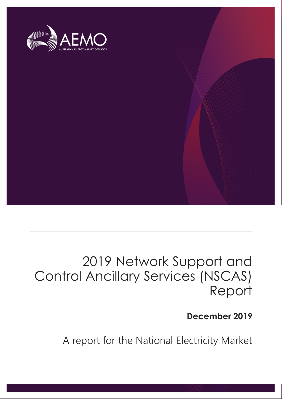

# 2019 Network Support and Control Ancillary Services (NSCAS) Report

# **December 2019**

A report for the National Electricity Market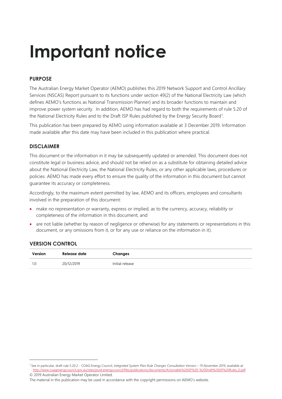# **Important notice**

### **PURPOSE**

The Australian Energy Market Operator (AEMO) publishes this 2019 Network Support and Control Ancillary Services (NSCAS) Report pursuant to its functions under section 49(2) of the National Electricity Law (which defines AEMO's functions as National Transmission Planner) and its broader functions to maintain and improve power system security. In addition, AEMO has had regard to both the requirements of rule 5.20 of the National Electricity Rules and to the Draft ISP Rules published by the Energy Security Board<sup>1</sup>.

This publication has been prepared by AEMO using information available at 3 December 2019. Information made available after this date may have been included in this publication where practical.

### **DISCLAIMER**

This document or the information in it may be subsequently updated or amended. This document does not constitute legal or business advice, and should not be relied on as a substitute for obtaining detailed advice about the National Electricity Law, the National Electricity Rules, or any other applicable laws, procedures or policies. AEMO has made every effort to ensure the quality of the information in this document but cannot guarantee its accuracy or completeness.

Accordingly, to the maximum extent permitted by law, AEMO and its officers, employees and consultants involved in the preparation of this document:

- make no representation or warranty, express or implied, as to the currency, accuracy, reliability or completeness of the information in this document; and
- are not liable (whether by reason of negligence or otherwise) for any statements or representations in this document, or any omissions from it, or for any use or reliance on the information in it).

### **VERSION CONTROL**

| Version | Release date | Changes         |
|---------|--------------|-----------------|
|         | 20/12/2019   | Initial release |

<sup>© 2019</sup> Australian Energy Market Operator Limited. 1 See in particular, draft rule 5.20.2 - COAG Energy Council, *Integrated System Plan Rule Changes Consultation Version - 19 November 2019*, available at [http://www.coagenergycouncil.gov.au/sites/prod.energycouncil/files/publications/documents/Actionable%20ISP%20-%20Draft%20ISP%20Rules\\_0.pdf](http://www.coagenergycouncil.gov.au/sites/prod.energycouncil/files/publications/documents/Actionable%20ISP%20-%20Draft%20ISP%20Rules_0.pdf)

The material in this publication may be used in accordance with the [copyright permissions on AEMO's website](http://aemo.com.au/Privacy_and_Legal_Notices/Copyright_Permissions_Notice).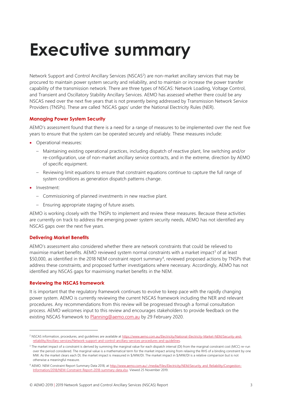# <span id="page-2-0"></span>**Executive summary**

Network Support and Control Ancillary Services (NSCAS<sup>2</sup>) are non-market ancillary services that may be procured to maintain power system security and reliability, and to maintain or increase the power transfer capability of the transmission network. There are three types of NSCAS: Network Loading, Voltage Control, and Transient and Oscillatory Stability Ancillary Services. AEMO has assessed whether there could be any NSCAS need over the next five years that is not presently being addressed by Transmission Network Service Providers (TNSPs). These are called 'NSCAS gaps' under the National Electricity Rules (NER).

#### **Managing Power System Security**

AEMO's assessment found that there is a need for a range of measures to be implemented over the next five years to ensure that the system can be operated securely and reliably. These measures include:

- Operational measures:
	- Maintaining existing operational practices, including dispatch of reactive plant, line switching and/or re-configuration, use of non-market ancillary service contracts, and in the extreme, direction by AEMO of specific equipment.
	- Reviewing limit equations to ensure that constraint equations continue to capture the full range of system conditions as generation dispatch patterns change.
- Investment:

 $\overline{a}$ 

- Commissioning of planned investments in new reactive plant.
- Ensuring appropriate staging of future assets.

AEMO is working closely with the TNSPs to implement and review these measures. Because these activities are currently on track to address the emerging power system security needs, AEMO has not identified any NSCAS gaps over the next five years.

#### **Delivering Market Benefits**

AEMO's assessment also considered whether there are network constraints that could be relieved to maximise market benefits. AEMO reviewed system normal constraints with a market impact<sup>3</sup> of at least \$50,000, as identified in the 2018 NEM constraint report summary<sup>4</sup>, reviewed proposed actions by TNSPs that address these constraints, and proposed further investigations where necessary. Accordingly, AEMO has not identified any NSCAS gaps for maximising market benefits in the NEM.

#### **Reviewing the NSCAS framework**

It is important that the regulatory framework continues to evolve to keep pace with the rapidly changing power system. AEMO is currently reviewing the current NSCAS framework including the NER and relevant procedures. Any recommendations from this review will be progressed through a formal consultation process. AEMO welcomes input to this review and encourages stakeholders to provide feedback on the existing NSCAS framework to **Planning@aemo.com.au** by 29 February 2020.

<sup>&</sup>lt;sup>2</sup> NSCAS information, procedures, and quidelines are available at [https://www.aemo.com.au/Electricity/National-Electricity-Market-NEM/Security-and](https://www.aemo.com.au/Electricity/National-Electricity-Market-NEM/Security-and-reliability/Ancillary-services/Network-support-and-control-ancillary-services-procedures-and-guidelines)[reliability/Ancillary-services/Network-support-and-control-ancillary-services-procedures-and-guidelines.](https://www.aemo.com.au/Electricity/National-Electricity-Market-NEM/Security-and-reliability/Ancillary-services/Network-support-and-control-ancillary-services-procedures-and-guidelines) 

<sup>&</sup>lt;sup>3</sup> The market impact of a constraint is derived by summing the marginal value for each dispatch interval (DI) from the marginal constraint cost (MCC) re-run over the period considered. The marginal value is a mathematical term for the market impact arising from relaxing the RHS of a binding constraint by one MW. As the market clears each DI, the market impact is measured in \$/MW/DI. The market impact in \$/MW/DI is a relative comparison but is not otherwise a meaningful measure.

<sup>4</sup> AEMO. NEM Constraint Report Summary Data 2018, a[t http://www.aemo.com.au/-/media/Files/Electricity/NEM/Security\\_and\\_Reliability/Congestion-](http://www.aemo.com.au/-/media/Files/Electricity/NEM/Security_and_Reliability/Congestion-Information/2018/NEM-Constraint-Report-2018-summary-data.xlsx)[Information/2018/NEM-Constraint-Report-2018-summary-data.xlsx.](http://www.aemo.com.au/-/media/Files/Electricity/NEM/Security_and_Reliability/Congestion-Information/2018/NEM-Constraint-Report-2018-summary-data.xlsx) Viewed 25 November 2019.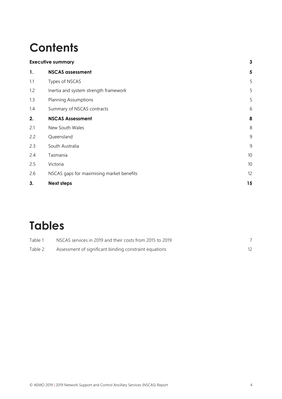# **Contents**

| <b>Executive summary</b> |                                           | 3                       |
|--------------------------|-------------------------------------------|-------------------------|
| 1.                       | <b>NSCAS</b> assessment                   | $\overline{\mathbf{5}}$ |
| 1.1                      | Types of NSCAS                            | 5                       |
| 1.2                      | Inertia and system strength framework     | 5                       |
| 1.3                      | <b>Planning Assumptions</b>               | 5                       |
| 1.4                      | Summary of NSCAS contracts                | 6                       |
| 2.                       | <b>NSCAS Assessment</b>                   | 8                       |
| 2.1                      | New South Wales                           | $8\,$                   |
| 2.2                      | Queensland                                | $\overline{9}$          |
| 2.3                      | South Australia                           | 9                       |
| 2.4                      | Tasmania                                  | $10$                    |
| 2.5                      | Victoria                                  | 10                      |
| 2.6                      | NSCAS gaps for maximising market benefits | 12                      |
| 3.                       | <b>Next steps</b>                         | 15                      |
|                          |                                           |                         |

# **Tables**

| Table 1 | NSCAS services in 2019 and their costs from 2015 to 2019 |  |
|---------|----------------------------------------------------------|--|
| Table 2 | Assessment of significant binding constraint equations   |  |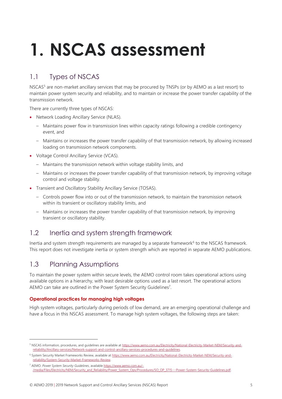# <span id="page-4-0"></span>**1. NSCAS assessment**

# <span id="page-4-1"></span>1.1 Types of NSCAS

NSCAS<sup>5</sup> are non-market ancillary services that may be procured by TNSPs (or by AEMO as a last resort) to maintain power system security and reliability, and to maintain or increase the power transfer capability of the transmission network.

There are currently three types of NSCAS:

- Network Loading Ancillary Service (NLAS).
	- Maintains power flow in transmission lines within capacity ratings following a credible contingency event, and
	- Maintains or increases the power transfer capability of that transmission network, by allowing increased loading on transmission network components.
- Voltage Control Ancillary Service (VCAS).
	- Maintains the transmission network within voltage stability limits, and
	- Maintains or increases the power transfer capability of that transmission network, by improving voltage control and voltage stability.
- Transient and Oscillatory Stability Ancillary Service (TOSAS).
	- Controls power flow into or out of the transmission network, to maintain the transmission network within its transient or oscillatory stability limits, and
	- Maintains or increases the power transfer capability of that transmission network, by improving transient or oscillatory stability.

# <span id="page-4-2"></span>1.2 Inertia and system strength framework

Inertia and system strength requirements are managed by a separate framework $6$  to the NSCAS framework. This report does not investigate inertia or system strength which are reported in separate AEMO publications.

## <span id="page-4-3"></span>1.3 Planning Assumptions

 $\overline{a}$ 

To maintain the power system within secure levels, the AEMO control room takes operational actions using available options in a hierarchy, with least desirable options used as a last resort. The operational actions AEMO can take are outlined in the Power System Security Guidelines<sup>7</sup>.

### **Operational practices for managing high voltages**

High system voltages, particularly during periods of low demand, are an emerging operational challenge and have a focus in this NSCAS assessment. To manage high system voltages, the following steps are taken:

<sup>&</sup>lt;sup>5</sup> NSCAS information, procedures, and quidelines are available at [https://www.aemo.com.au/Electricity/National-Electricity-Market-NEM/Security-and](https://www.aemo.com.au/Electricity/National-Electricity-Market-NEM/Security-and-reliability/Ancillary-services/Network-support-and-control-ancillary-services-procedures-and-guidelines)[reliability/Ancillary-services/Network-support-and-control-ancillary-services-procedures-and-guidelines.](https://www.aemo.com.au/Electricity/National-Electricity-Market-NEM/Security-and-reliability/Ancillary-services/Network-support-and-control-ancillary-services-procedures-and-guidelines)

<sup>&</sup>lt;sup>6</sup> System Security Market Frameworks Review, available a[t https://www.aemo.com.au/Electricity/National-Electricity-Market-NEM/Security-and](https://www.aemo.com.au/Electricity/National-Electricity-Market-NEM/Security-and-reliability/System-Security-Market-Frameworks-Review)[reliability/System-Security-Market-Frameworks-Review.](https://www.aemo.com.au/Electricity/National-Electricity-Market-NEM/Security-and-reliability/System-Security-Market-Frameworks-Review)

<sup>7</sup> AEMO. *Power System Security Guidelines*, availabl[e https://www.aemo.com.au/-](https://www.aemo.com.au/-/media/Files/Electricity/NEM/Security_and_Reliability/Power_System_Ops/Procedures/SO_OP_3715---Power-System-Security-Guidelines.pdf) [/media/Files/Electricity/NEM/Security\\_and\\_Reliability/Power\\_System\\_Ops/Procedures/SO\\_OP\\_3715---Power-System-Security-Guidelines.pdf.](https://www.aemo.com.au/-/media/Files/Electricity/NEM/Security_and_Reliability/Power_System_Ops/Procedures/SO_OP_3715---Power-System-Security-Guidelines.pdf)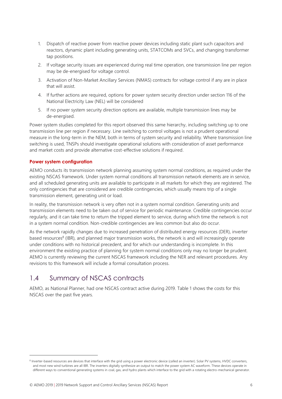- 1. Dispatch of reactive power from reactive power devices including static plant such capacitors and reactors, dynamic plant including generating units, STATCOMs and SVCs, and changing transformer tap positions.
- 2. If voltage security issues are experienced during real time operation, one transmission line per region may be de-energised for voltage control.
- 3. Activation of Non-Market Ancillary Services (NMAS) contracts for voltage control if any are in place that will assist.
- 4. If further actions are required, options for power system security direction under section 116 of the National Electricity Law (NEL) will be considered
- 5. If no power system security direction options are available, multiple transmission lines may be de-energised.

Power system studies completed for this report observed this same hierarchy, including switching up to one transmission line per region if necessary. Line switching to control voltages is not a prudent operational measure in the long-term in the NEM, both in terms of system security and reliability. Where transmission line switching is used, TNSPs should investigate operational solutions with consideration of asset performance and market costs and provide alternative cost-effective solutions if required.

#### **Power system configuration**

 $\overline{a}$ 

AEMO conducts its transmission network planning assuming system normal conditions, as required under the existing NSCAS framework. Under system normal conditions all transmission network elements are in service, and all scheduled generating units are available to participate in all markets for which they are registered. The only contingencies that are considered are credible contingencies, which usually means trip of a single transmission element, generating unit or load.

In reality, the transmission network is very often not in a system normal condition. Generating units and transmission elements need to be taken out of service for periodic maintenance. Credible contingencies occur regularly, and it can take time to return the tripped element to service, during which time the network is not in a system normal condition. Non-credible contingencies are less common but also do occur.

As the network rapidly changes due to increased penetration of distributed energy resources (DER), inverter based resources<sup>8</sup> (IBR), and planned major transmission works, the network is and will increasingly operate under conditions with no historical precedent, and for which our understanding is incomplete. In this environment the existing practice of planning for system normal conditions only may no longer be prudent. AEMO is currently reviewing the current NSCAS framework including the NER and relevant procedures. Any revisions to this framework will include a formal consultation process.

## <span id="page-5-0"></span>1.4 Summary of NSCAS contracts

AEMO, as National Planner, had one NSCAS contract active during 2019. [Table 1](#page-6-0) shows the costs for this NSCAS over the past five years.

<sup>&</sup>lt;sup>8</sup> Inverter-based resources are devices that interface with the grid using a power electronic device (called an inverter). Solar PV systems, HVDC converters, and most new wind turbines are all IBR. The inverters digitally synthesize an output to match the power system AC waveform. These devices operate in different ways to conventional generating systems in coal, gas, and hydro plants which interface to the grid with a rotating electro-mechanical generator.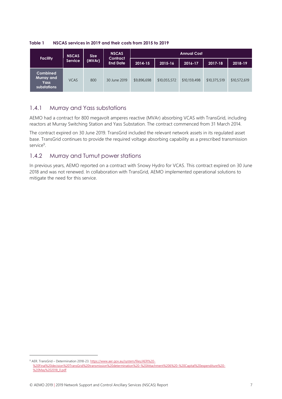**Facility NSCAS Service Size (MVAr) NSCAS Contract End Date Annual Cost 2014-15 2015-16 2016-17 2017-18 2018-19 Combined Murray and Yass substations** VCAS 800 30 June 2019 \$9,896,698 \$10,055,572 \$10,159,498 \$10,375,519 \$10,572,619

<span id="page-6-0"></span>**Table 1 NSCAS services in 2019 and their costs from 2015 to 2019**

## 1.4.1 Murray and Yass substations

AEMO had a contract for 800 megavolt amperes reactive (MVAr) absorbing VCAS with TransGrid, including reactors at Murray Switching Station and Yass Substation. The contract commenced from 31 March 2014.

The contract expired on 30 June 2019. TransGrid included the relevant network assets in its regulated asset base. TransGrid continues to provide the required voltage absorbing capability as a prescribed transmission service<sup>9</sup>.

## 1.4.2 Murray and Tumut power stations

In previous years, AEMO reported on a contract with Snowy Hydro for VCAS. This contract expired on 30 June 2018 and was not renewed. In collaboration with TransGrid, AEMO implemented operational solutions to mitigate the need for this service.

<sup>9</sup> AER. TransGrid – Determination 2018-23[. https://www.aer.gov.au/system/files/AER%20-](https://www.aer.gov.au/system/files/AER%20-%20Final%20decision%20TransGrid%20transmission%20determination%20-%20Attachment%206%20-%20Capital%20expenditure%20-%20May%202018_0.pdf) [%20Final%20decision%20TransGrid%20transmission%20determination%20-%20Attachment%206%20-%20Capital%20expenditure%20-](https://www.aer.gov.au/system/files/AER%20-%20Final%20decision%20TransGrid%20transmission%20determination%20-%20Attachment%206%20-%20Capital%20expenditure%20-%20May%202018_0.pdf) [%20May%202018\\_0.pdf](https://www.aer.gov.au/system/files/AER%20-%20Final%20decision%20TransGrid%20transmission%20determination%20-%20Attachment%206%20-%20Capital%20expenditure%20-%20May%202018_0.pdf)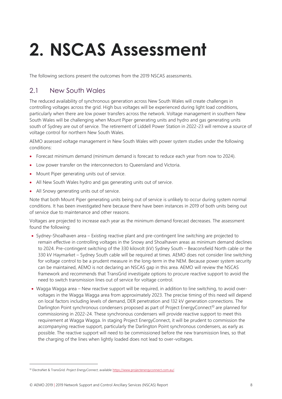# <span id="page-7-0"></span>**2. NSCAS Assessment**

The following sections present the outcomes from the 2019 NSCAS assessments.

# <span id="page-7-1"></span>2.1 New South Wales

The reduced availability of synchronous generation across New South Wales will create challenges in controlling voltages across the grid. High bus voltages will be experienced during light load conditions, particularly when there are low power transfers across the network. Voltage management in southern New South Wales will be challenging when Mount Piper generating units and hydro and gas generating units south of Sydney are out of service. The retirement of Liddell Power Station in 2022-23 will remove a source of voltage control for northern New South Wales.

AEMO assessed voltage management in New South Wales with power system studies under the following conditions:

- Forecast minimum demand (minimum demand is forecast to reduce each year from now to 2024).
- Low power transfer on the interconnectors to Queensland and Victoria.
- Mount Piper generating units out of service.
- All New South Wales hydro and gas generating units out of service.
- All Snowy generating units out of service.

Note that both Mount Piper generating units being out of service is unlikely to occur during system normal conditions. It has been investigated here because there have been instances in 2019 of both units being out of service due to maintenance and other reasons.

Voltages are projected to increase each year as the minimum demand forecast decreases. The assessment found the following:

- Sydney-Shoalhaven area Existing reactive plant and pre-contingent line switching are projected to remain effective in controlling voltages in the Snowy and Shoalhaven areas as minimum demand declines to 2024. Pre-contingent switching of the 330 kilovolt (kV) Sydney South – Beaconsfield North cable or the 330 kV Haymarket – Sydney South cable will be required at times. AEMO does not consider line switching for voltage control to be a prudent measure in the long-term in the NEM. Because power system security can be maintained, AEMO is not declaring an NSCAS gap in this area. AEMO will review the NSCAS framework and recommends that TransGrid investigate options to procure reactive support to avoid the need to switch transmission lines out of service for voltage control.
- Wagga Wagga area New reactive support will be required, in addition to line switching, to avoid overvoltages in the Wagga Wagga area from approximately 2023. The precise timing of this need will depend on local factors including levels of demand, DER penetration and 132 kV generation connections. The Darlington Point synchronous condensers proposed as part of Project EnergyConnect<sup>10</sup> are planned for commissioning in 2022-24. These synchronous condensers will provide reactive support to meet this requirement at Wagga Wagga. In staging Project EnergyConnect, it will be prudent to commission the accompanying reactive support, particularly the Darlington Point synchronous condensers, as early as possible. The reactive support will need to be commissioned before the new transmission lines, so that the charging of the lines when lightly loaded does not lead to over-voltages.

<sup>10</sup> ElectraNet & TransGrid. *Project EnergyConnect*, available [https://www.projectenergyconnect.com.au/.](https://www.projectenergyconnect.com.au/)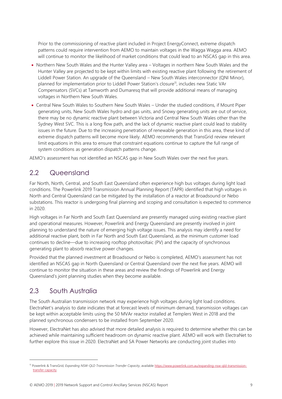Prior to the commissioning of reactive plant included in Project EnergyConnect, extreme dispatch patterns could require intervention from AEMO to maintain voltages in the Wagga Wagga area. AEMO will continue to monitor the likelihood of market conditions that could lead to an NSCAS gap in this area.

- Northern New South Wales and the Hunter Valley area Voltages in northern New South Wales and the Hunter Valley are projected to be kept within limits with existing reactive plant following the retirement of Liddell Power Station. An upgrade of the Queensland – New South Wales interconnector (QNI Minor), planned for implementation prior to Liddell Power Station's closure<sup>11</sup>, includes new Static VAr Compensators (SVCs) at Tamworth and Dumaresq that will provide additional means of managing voltages in Northern New South Wales.
- Central New South Wales to Southern New South Wales Under the studied conditions, if Mount Piper generating units, New South Wales hydro and gas units, and Snowy generating units are out of service, there may be no dynamic reactive plant between Victoria and Central New South Wales other than the Sydney West SVC. This is a long flow path, and the lack of dynamic reactive plant could lead to stability issues in the future. Due to the increasing penetration of renewable generation in this area, these kind of extreme dispatch patterns will become more likely. AEMO recommends that TransGrid review relevant limit equations in this area to ensure that constraint equations continue to capture the full range of system conditions as generation dispatch patterns change.

AEMO's assessment has not identified an NSCAS gap in New South Wales over the next five years.

# <span id="page-8-0"></span>2.2 Queensland

Far North, North, Central, and South East Queensland often experience high bus voltages during light load conditions. The Powerlink 2019 Transmission Annual Planning Report (TAPR) identified that high voltages in North and Central Queensland can be mitigated by the installation of a reactor at Broadsound or Nebo substations. This reactor is undergoing final planning and scoping and consultation is expected to commence in 2020.

High voltages in Far North and South East Queensland are presently managed using existing reactive plant and operational measures. However, Powerlink and Energy Queensland are presently involved in joint planning to understand the nature of emerging high voltage issues. This analysis may identify a need for additional reactive plant, both in Far North and South East Queensland, as the minimum customer load continues to decline—due to increasing rooftop photovoltaic (PV) and the capacity of synchronous generating plant to absorb reactive power changes.

Provided that the planned investment at Broadsound or Nebo is completed, AEMO's assessment has not identified an NSCAS gap in North Queensland or Central Queensland over the next five years. AEMO will continue to monitor the situation in these areas and review the findings of Powerlink and Energy Queensland's joint planning studies when they become available.

## <span id="page-8-1"></span>2.3 South Australia

 $\overline{a}$ 

The South Australian transmission network may experience high voltages during light load conditions. ElectraNet's analysis to date indicates that at forecast levels of minimum demand, transmission voltages can be kept within acceptable limits using the 50 MVAr reactor installed at Templers West in 2018 and the planned synchronous condensers to be installed from September 2020.

However, ElectraNet has also advised that more detailed analysis is required to determine whether this can be achieved while maintaining sufficient headroom on dynamic reactive plant. AEMO will work with ElectraNet to further explore this issue in 2020. ElectraNet and SA Power Networks are conducting joint studies into

<sup>11</sup> Powerlink & TransGrid, *Expanding NSW-QLD Transmission Transfer Capacity*, availabl[e https://www.powerlink.com.au/expanding-nsw-qld-transmission](https://www.powerlink.com.au/expanding-nsw-qld-transmission-transfer-capacity)[transfer-capacity.](https://www.powerlink.com.au/expanding-nsw-qld-transmission-transfer-capacity)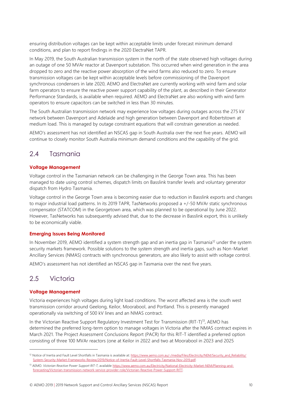ensuring distribution voltages can be kept within acceptable limits under forecast minimum demand conditions, and plan to report findings in the 2020 ElectraNet TAPR.

In May 2019, the South Australian transmission system in the north of the state observed high voltages during an outage of one 50 MVAr reactor at Davenport substation. This occurred when wind generation in the area dropped to zero and the reactive power absorption of the wind farms also reduced to zero. To ensure transmission voltages can be kept within acceptable levels before commissioning of the Davenport synchronous condensers in late 2020, AEMO and ElectraNet are currently working with wind farm and solar farm operators to ensure the reactive power support capability of the plant, as described in their Generator Performance Standards, is available when required. AEMO and ElectraNet are also working with wind farm operators to ensure capacitors can be switched in less than 30 minutes.

The South Australian transmission network may experience low voltages during outages across the 275 kV network between Davenport and Adelaide and high generation between Davenport and Robertstown at medium load. This is managed by outage constraint equations that will constrain generation as needed.

AEMO's assessment has not identified an NSCAS gap in South Australia over the next five years. AEMO will continue to closely monitor South Australia minimum demand conditions and the capability of the grid.

# <span id="page-9-0"></span>2.4 Tasmania

### **Voltage Management**

Voltage control in the Tasmanian network can be challenging in the George Town area. This has been managed to date using control schemes, dispatch limits on Basslink transfer levels and voluntary generator dispatch from Hydro Tasmania.

Voltage control in the George Town area is becoming easier due to reduction in Basslink exports and changes to major industrial load patterns. In its 2019 TAPR, TasNetworks proposed a +/-50 MVAr static synchronous compensator (STATCOM) in the Georgetown area, which was planned to be operational by June 2022. However, TasNetworks has subsequently advised that, due to the decrease in Basslink export, this is unlikely to be economically viable.

### **Emerging Issues Being Monitored**

In November 2019, AEMO identified a system strength gap and an inertia gap in Tasmania<sup>12</sup> under the system security markets framework. Possible solutions to the system strength and inertia gaps, such as Non-Market Ancillary Services (NMAS) contracts with synchronous generators, are also likely to assist with voltage control.

AEMO's assessment has not identified an NSCAS gap in Tasmania over the next five years.

# <span id="page-9-1"></span>2.5 Victoria

 $\overline{a}$ 

### **Voltage Management**

Victoria experiences high voltages during light load conditions. The worst affected area is the south west transmission corridor around Geelong, Keilor, Moorabool, and Portland. This is presently managed operationally via switching of 500 kV lines and an NMAS contract.

In the Victorian Reactive Support Regulatory Investment Test for Transmission (RIT-T)<sup>13</sup>, AEMO has determined the preferred long-term option to manage voltages in Victoria after the NMAS contract expires in March 2021. The Project Assessment Conclusions Report (PACR) for this RIT-T identified a preferred option consisting of three 100 MVAr reactors (one at Keilor in 2022 and two at Moorabool in 2023 and 2025

<sup>&</sup>lt;sup>12</sup> Notice of Inertia and Fault Level Shortfalls in Tasmania is available at[: https://www.aemo.com.au/-/media/Files/Electricity/NEM/Security\\_and\\_Reliability/](https://www.aemo.com.au/-/media/Files/Electricity/NEM/Security_and_Reliability/System-Security-Market-Frameworks-Review/2019/Notice-of-Inertia-Fault-Level-Shortfalls-Tasmania-Nov-2019.pdf) [System-Security-Market-Frameworks-Review/2019/Notice-of-Inertia-Fault-Level-Shortfalls-Tasmania-Nov-2019.pdf.](https://www.aemo.com.au/-/media/Files/Electricity/NEM/Security_and_Reliability/System-Security-Market-Frameworks-Review/2019/Notice-of-Inertia-Fault-Level-Shortfalls-Tasmania-Nov-2019.pdf)

<sup>13</sup> AEMO. *Victorian Reactive Power Support RIT-T*, available [https://www.aemo.com.au/Electricity/National-Electricity-Market-NEM/Planning-and](https://www.aemo.com.au/Electricity/National-Electricity-Market-NEM/Planning-and-forecasting/Victorian-transmission-network-service-provider-role/Victorian-Reactive-Power-Support-RITT)[forecasting/Victorian-transmission-network-service-provider-role/Victorian-Reactive-Power-Support-RITT.](https://www.aemo.com.au/Electricity/National-Electricity-Market-NEM/Planning-and-forecasting/Victorian-transmission-network-service-provider-role/Victorian-Reactive-Power-Support-RITT)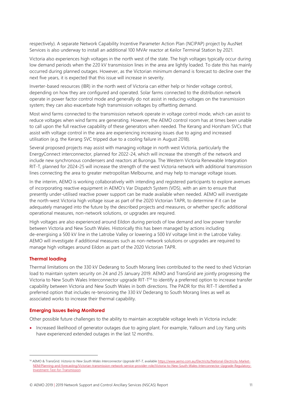respectively). A separate Network Capability Incentive Parameter Action Plan (NCIPAP) project by AusNet Services is also underway to install an additional 100 MVAr reactor at Keilor Terminal Station by 2021.

Victoria also experiences high voltages in the north west of the state. The high voltages typically occur during low demand periods when the 220 kV transmission lines in the area are lightly loaded. To date this has mainly occurred during planned outages. However, as the Victorian minimum demand is forecast to decline over the next five years, it is expected that this issue will increase in severity.

Inverter-based resources (IBR) in the north west of Victoria can either help or hinder voltage control, depending on how they are configured and operated. Solar farms connected to the distribution network operate in power factor control mode and generally do not assist in reducing voltages on the transmission system; they can also exacerbate high transmission voltages by offsetting demand.

Most wind farms connected to the transmission network operate in voltage control mode, which can assist to reduce voltages when wind farms are generating. However, the AEMO control room has at times been unable to call upon the full reactive capability of these generators when needed. The Kerang and Horsham SVCs that assist with voltage control in the area are experiencing increasing issues due to aging and increased utilisation (e.g. the Kerang SVC tripped due to a cooling failure in August 2018).

Several proposed projects may assist with managing voltage in north west Victoria, particularly the EnergyConnect interconnector, planned for 2022-24, which will increase the strength of the network and include new synchronous condensers and reactors at Buronga. The Western Victoria Renewable Integration RIT-T, planned for 2024-25 will increase the strength of the west Victoria network with additional transmission lines connecting the area to greater metropolitan Melbourne, and may help to manage voltage issues.

In the interim, AEMO is working collaboratively with intending and registered participants to explore avenues of incorporating reactive equipment in AEMO's Var Dispatch System (VDS), with an aim to ensure that presently under-utilised reactive power support can be made available when needed. AEMO will investigate the north-west Victoria high voltage issue as part of the 2020 Victorian TAPR, to determine if it can be adequately managed into the future by the described projects and measures, or whether specific additional operational measures, non-network solutions, or upgrades are required.

High voltages are also experienced around Eildon during periods of low demand and low power transfer between Victoria and New South Wales. Historically this has been managed by actions including de-energising a 500 kV line in the Latrobe Valley or lowering a 500 kV voltage limit in the Latrobe Valley. AEMO will investigate if additional measures such as non-network solutions or upgrades are required to manage high voltages around Eildon as part of the 2020 Victorian TAPR.

#### **Thermal loading**

 $\overline{a}$ 

Thermal limitations on the 330 kV Dederang to South Morang lines contributed to the need to shed Victorian load to maintain system security on 24 and 25 January 2019. AEMO and TransGrid are jointly progressing the Victoria to New South Wales Interconnector upgrade RIT-T<sup>14</sup> to identify a preferred option to increase transfer capability between Victoria and New South Wales in both directions. The PADR for this RIT-T identified a preferred option that includes re-tensioning the 330 kV Dederang to South Morang lines as well as associated works to increase their thermal capability.

#### **Emerging Issues Being Monitored**

Other possible future challenges to the ability to maintain acceptable voltage levels in Victoria include:

• Increased likelihood of generator outages due to aging plant. For example, Yallourn and Loy Yang units have experienced extended outages in the last 12 months.

<sup>&</sup>lt;sup>14</sup> AEMO & TransGrid. Victoria to New South Wales Interconnector Upgrade RIT-T, availabl[e https://www.aemo.com.au/Electricity/National-Electricity-Market-](https://www.aemo.com.au/Electricity/National-Electricity-Market-NEM/Planning-and-forecasting/Victorian-transmission-network-service-provider-role/Victoria-to-New-South-Wales-Interconnector-Upgrade-Regulatory-Investment-Test-for-Transmission)[NEM/Planning-and-forecasting/Victorian-transmission-network-service-provider-role/Victoria-to-New-South-Wales-Interconnector-Upgrade-Regulatory-](https://www.aemo.com.au/Electricity/National-Electricity-Market-NEM/Planning-and-forecasting/Victorian-transmission-network-service-provider-role/Victoria-to-New-South-Wales-Interconnector-Upgrade-Regulatory-Investment-Test-for-Transmission)[Investment-Test-for-Transmission.](https://www.aemo.com.au/Electricity/National-Electricity-Market-NEM/Planning-and-forecasting/Victorian-transmission-network-service-provider-role/Victoria-to-New-South-Wales-Interconnector-Upgrade-Regulatory-Investment-Test-for-Transmission)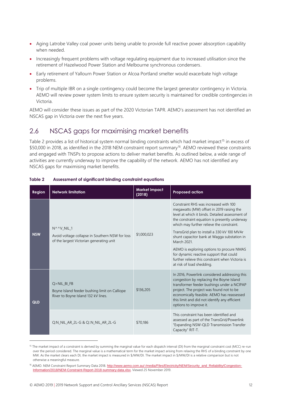- Aging Latrobe Valley coal power units being unable to provide full reactive power absorption capability when needed.
- Increasingly frequent problems with voltage regulating equipment due to increased utilisation since the retirement of Hazelwood Power Station and Melbourne synchronous condensers.
- Early retirement of Yallourn Power Station or Alcoa Portland smelter would exacerbate high voltage problems.
- Trip of multiple IBR on a single contingency could become the largest generator contingency in Victoria. AEMO will review power system limits to ensure system security is maintained for credible contingencies in Victoria.

AEMO will consider these issues as part of the 2020 Victorian TAPR. AEMO's assessment has not identified an NSCAS gap in Victoria over the next five years.

# <span id="page-11-0"></span>2.6 NSCAS gaps for maximising market benefits

[Table 2](#page-11-1) provides a list of historical system normal binding constraints which had market impact<sup>15</sup> in excess of \$50,000 in 2018, as identified in the 2018 NEM constraint report summary<sup>16</sup>. AEMO reviewed these constraints and engaged with TNSPs to propose actions to deliver market benefits. As outlined below, a wide range of activities are currently underway to improve the capability of the network. AEMO has not identified any NSCAS gaps for maximising market benefits.

| Region     | <b>Network limitation</b>                                                                                 | <b>Market impact</b><br>(2018) | <b>Proposed action</b>                                                                                                                                                                                                                                                                                                                                                                                                                                                                                                    |
|------------|-----------------------------------------------------------------------------------------------------------|--------------------------------|---------------------------------------------------------------------------------------------------------------------------------------------------------------------------------------------------------------------------------------------------------------------------------------------------------------------------------------------------------------------------------------------------------------------------------------------------------------------------------------------------------------------------|
| <b>NSW</b> | N^^V NIL 1<br>Avoid voltage collapse in Southern NSW for loss<br>of the largest Victorian generating unit | \$1,000,023                    | Constraint RHS was increased with 100<br>megawatts (MW) offset in 2019 raising the<br>level at which it binds. Detailed assessment of<br>the constraint equation is presently underway<br>which may further relieve the constraint.<br>TransGrid plan to install a 330 kV 100 MVAr<br>shunt capacitor bank at Wagga substation in<br>March 2021.<br>AEMO is exploring options to procure NMAS<br>for dynamic reactive support that could<br>further relieve this constraint when Victoria is<br>at risk of load shedding. |
| QLD        | Q>NIL BI FB<br>Boyne Island feeder bushing limit on Calliope<br>River to Boyne Island 132 kV lines.       | \$136,205                      | In 2016, Powerlink considered addressing this<br>congestion by replacing the Boyne Island<br>transformer feeder bushings under a NCIPAP<br>project. The project was found not to be<br>economically feasible. AEMO has reassessed<br>this limit and did not identify any efficient<br>options to improve it.                                                                                                                                                                                                              |
|            | Q:N NIL AR 2L-G & Q::N NIL AR 2L-G                                                                        | \$70,186                       | This constraint has been identified and<br>assessed as part of the TransGrid/Powerlink<br>"Expanding NSW-QLD Transmission Transfer<br>Capacity" RIT-T.                                                                                                                                                                                                                                                                                                                                                                    |

#### <span id="page-11-1"></span>**Table 2 Assessment of significant binding constraint equations**

<sup>&</sup>lt;sup>15</sup> The market impact of a constraint is derived by summing the marginal value for each dispatch interval (DI) from the marginal constraint cost (MCC) re-run over the period considered. The marginal value is a mathematical term for the market impact arising from relaxing the RHS of a binding constraint by one MW. As the market clears each DI, the market impact is measured in \$/MW/DI. The market impact in \$/MW/DI is a relative comparison but is not otherwise a meaningful measure.

<sup>16</sup> AEMO. NEM Constraint Report Summary Data 2018. [http://www.aemo.com.au/-/media/Files/Electricity/NEM/Security\\_and\\_Reliability/Congestion-](http://www.aemo.com.au/-/media/Files/Electricity/NEM/Security_and_Reliability/Congestion-Information/2018/NEM-Constraint-Report-2018-summary-data.xlsx)[Information/2018/NEM-Constraint-Report-2018-summary-data.xlsx](http://www.aemo.com.au/-/media/Files/Electricity/NEM/Security_and_Reliability/Congestion-Information/2018/NEM-Constraint-Report-2018-summary-data.xlsx). Viewed 25 November 2019.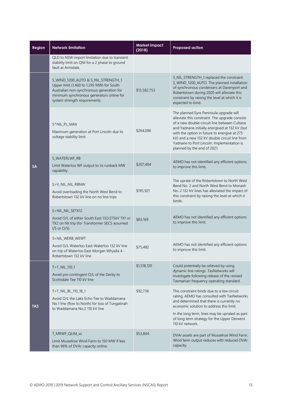| Region     | <b>Network limitation</b>                                                                                                                                                                                   | <b>Market impact</b><br>(2018) | <b>Proposed action</b>                                                                                                                                                                                                                                                                                                                                                       |
|------------|-------------------------------------------------------------------------------------------------------------------------------------------------------------------------------------------------------------|--------------------------------|------------------------------------------------------------------------------------------------------------------------------------------------------------------------------------------------------------------------------------------------------------------------------------------------------------------------------------------------------------------------------|
|            | QLD to NSW import limitation due to transient<br>stability limit on QNI for a 2 phase to ground<br>fault at Armidale.                                                                                       |                                |                                                                                                                                                                                                                                                                                                                                                                              |
| <b>SA</b>  | S_WIND_1200_AUTO & S_NIL_STRENGTH_1<br>Upper limit (1,460 to 1,295 MW) for South<br>Australian non-synchronous generation for<br>minimum synchronous generators online for<br>system strength requirements. | \$13,582,753                   | S_NIL_STRENGTH_1 replaced the constraint<br>S_WIND_1200_AUTO. The planned installation<br>of synchronous condensers at Davenport and<br>Robertstown during 2020 will alleviate this<br>constraint by raising the level at which it is<br>expected to bind.                                                                                                                   |
|            | S^NIL_PL_MAX<br>Maximum generation at Port Lincoln due to<br>voltage stability limit.                                                                                                                       | \$264,096                      | The planned Eyre Peninsula upgrade will<br>alleviate this constraint. The upgrade consists<br>of a new double-circuit line between Cultana<br>and Yadnarie initially energised at 132 kV (but<br>with the option in future to energise at 275<br>kV) and a new 132 kV double circuit line from<br>Yadnarie to Port Lincoln. Implementation is<br>planned by the end of 2021. |
|            | S_WATERLWF_RB<br>Limit Waterloo WF output to its runback MW<br>capability                                                                                                                                   | \$207,404                      | AEMO has not identified any efficient options<br>to improve this limit.                                                                                                                                                                                                                                                                                                      |
|            | S>V_NIL_NIL_RBNW<br>Avoid overloading the North West Bend to<br>Robertstown 132 kV line on no line trips                                                                                                    | \$195,921                      | The uprate of the Robertstown to North West<br>Bend No. 2 and North West Bend to Monash<br>No. 2 132 kV lines has alleviated the impact of<br>this constraint by raising the level at which it<br>binds.                                                                                                                                                                     |
|            | S>NIL_NIL_SETX12<br>Avoid O/L of either South East 132/275kV TX1 or<br>TX2 on Nil trip (for Transformer SECS assumed<br>$I/S$ or $O/S$ )                                                                    | \$83,169                       | AEMO has not identified any efficient options<br>to improve this limit.                                                                                                                                                                                                                                                                                                      |
|            | S>NIL WERB WEWT<br>Avoid O/L Waterloo East-Waterloo 132 kV line<br>on trip of Waterloo East-Morgan Whyalla 4 -<br>Robertstown 132 kV line                                                                   | \$75,482                       | AEMO has not identified any efficient options<br>to improve this limit.                                                                                                                                                                                                                                                                                                      |
| <b>TAS</b> | T>T_NIL_110_1<br>Avoid pre-contingent O/L of the Derby to<br>Scottsdale Tee 110 kV line                                                                                                                     | \$1,518,120                    | Could potentially be relieved by using<br>dynamic line ratings. TasNetworks will<br>investigate following release of the revised<br>Tasmanian frequency operating standard.                                                                                                                                                                                                  |
|            | T>T_NIL_BL_110_18_1<br>Avoid O/L the Lake Echo Tee to Waddamana<br>No.1 line (flow to North) for loss of Tungatinah<br>to Waddamana No.2 110 kV line                                                        | \$92,736                       | This constraint binds due to a low circuit<br>rating. AEMO has consulted with TasNetworks<br>and determined that there is currently no<br>economic solution to address this limit.<br>In the long term, lines may be uprated as part                                                                                                                                         |
|            |                                                                                                                                                                                                             |                                | of long term strategy for the Upper Derwent<br>110 kV network.                                                                                                                                                                                                                                                                                                               |
|            | T MRWF QLIM xx<br>Limit Musselroe Wind Farm to 150 MW if less<br>than 96% of DVAr capacity online.                                                                                                          | \$53,844                       | DVAr assets are part of Musselroe Wind Farm.<br>Wind farm output reduces with reduced DVAr<br>capacity.                                                                                                                                                                                                                                                                      |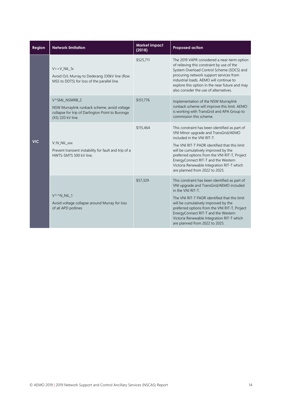| <b>Region</b> | <b>Network limitation</b>                                                                                                              | <b>Market impact</b><br>(2018) | <b>Proposed action</b>                                                                                                                                                                                                                                                                                                                                                                |
|---------------|----------------------------------------------------------------------------------------------------------------------------------------|--------------------------------|---------------------------------------------------------------------------------------------------------------------------------------------------------------------------------------------------------------------------------------------------------------------------------------------------------------------------------------------------------------------------------------|
| <b>VIC</b>    | $V >> V$ NIL 1x<br>Avoid O/L Murray to Dederang 330kV line (flow<br>MSS to DDTS) for loss of the parallel line.                        | \$525,711                      | The 2019 VAPR considered a near-term option<br>of relieving this constraint by use of the<br>System Overload Control Scheme (SOCS) and<br>procuring network support services from<br>industrial loads. AEMO will continue to<br>explore this option in the near future and may<br>also consider the use of alternatives.                                                              |
|               | V^SML NSWRB 2<br>NSW Murraylink runback scheme, avoid voltage<br>collapse for trip of Darlington Point to Buronga<br>(X5) 220 kV line. | \$151,776                      | Implementation of the NSW Murraylink<br>runback scheme will improve this limit. AEMO<br>is working with TransGrid and APA Group to<br>commission this scheme.                                                                                                                                                                                                                         |
|               | V::N NIL xxx<br>Prevent transient instability for fault and trip of a<br>HWTS-SMTS 500 kV line.                                        | \$115,464                      | This constraint has been identified as part of<br>VNI Minor upgrade and TransGrid/AEMO<br>included in the VNI RIT-T.<br>The VNI RIT-T PADR identified that this limit<br>will be cumulatively improved by the<br>preferred options from the VNI RIT-T, Project<br>EnergyConnect RIT-T and the Western<br>Victoria Renewable Integration RIT-T which<br>are planned from 2022 to 2025. |
|               | V^^N NIL 1<br>Avoid voltage collapse around Murray for loss<br>of all APD potlines                                                     | \$57,329                       | This constraint has been identified as part of<br>VNI upgrade and TransGrid/AEMO included<br>in the VNI RIT-T.<br>The VNI RIT-T PADR identified that this limit<br>will be cumulatively improved by the<br>preferred options from the VNI RIT-T, Project<br>EnergyConnect RIT-T and the Western<br>Victoria Renewable Integration RIT-T which<br>are planned from 2022 to 2025.       |